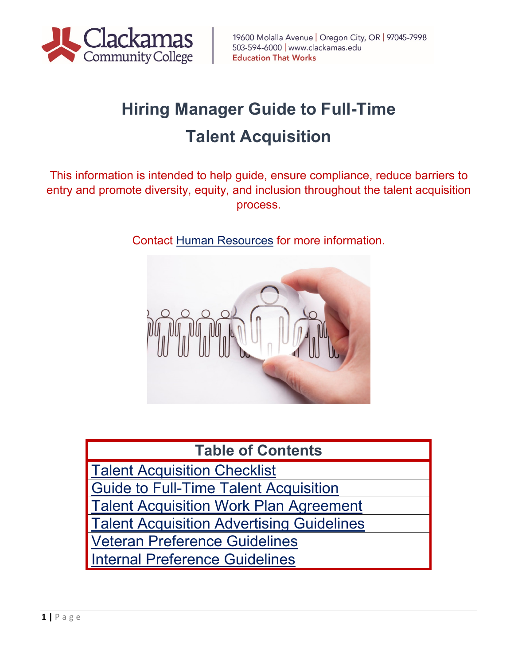

# **Hiring Manager Guide to Full-Time Talent Acquisition**

This information is intended to help guide, ensure compliance, reduce barriers to entry and promote diversity, equity, and inclusion throughout the talent acquisition process.

Contact [Human Resources](http://www.support.clackamas.edu/) for more information.



### **Table of Contents**

<span id="page-0-0"></span>[Talent Acquisition Checklist](#page-0-0) [Guide to Full-Time Talent Acquisition](#page-1-0) [Talent Acquisition Work Plan](#page-5-0) Agreement [Talent Acquisition Advertising Guidelines](#page-7-0) [Veteran Preference Guidelines](#page-9-0) nternal Preference Guidelines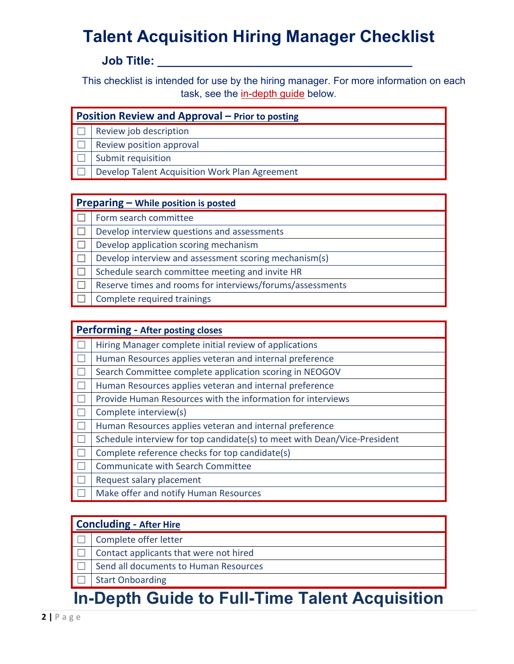## **Talent Acquisition Hiring Manager Checklist**

#### **Job Title: \_\_\_\_\_\_\_\_\_\_\_\_\_\_\_\_\_\_\_\_\_\_\_\_\_\_\_\_\_\_\_\_\_\_\_\_\_\_\_**

This checklist is intended for use by the hiring manager. For more information on each task, see the [in-depth guide](#page-1-0) below.

| Position Review and Approval - Prior to posting |                                                |  |  |
|-------------------------------------------------|------------------------------------------------|--|--|
|                                                 | Review job description                         |  |  |
|                                                 | Review position approval                       |  |  |
|                                                 | Submit requisition                             |  |  |
|                                                 | Develop Talent Acquisition Work Plan Agreement |  |  |
|                                                 |                                                |  |  |

#### **Preparing – [While position is posted](#page-2-1)**

□ Form search committee

 $\Box$  Develop interview questions and assessments

 $\Box$  Develop application scoring mechanism

- $\Box$  Develop interview and assessment scoring mechanism(s)
- $\Box$  Schedule search committee meeting and invite HR
- $\Box$  Reserve times and rooms for interviews/forums/assessments
- Complete required trainings

| <b>Performing - After posting closes</b>                                 |  |  |  |
|--------------------------------------------------------------------------|--|--|--|
| Hiring Manager complete initial review of applications                   |  |  |  |
| Human Resources applies veteran and internal preference                  |  |  |  |
| Search Committee complete application scoring in NEOGOV                  |  |  |  |
| Human Resources applies veteran and internal preference                  |  |  |  |
| Provide Human Resources with the information for interviews              |  |  |  |
| Complete interview(s)                                                    |  |  |  |
| Human Resources applies veteran and internal preference                  |  |  |  |
| Schedule interview for top candidate(s) to meet with Dean/Vice-President |  |  |  |
| Complete reference checks for top candidate(s)                           |  |  |  |
| <b>Communicate with Search Committee</b>                                 |  |  |  |
| Request salary placement                                                 |  |  |  |
| Make offer and notify Human Resources                                    |  |  |  |

#### **[Concluding -](#page-4-0) After Hire**

- □ Complete offer letter
- $\Box$  Contact applicants that were not hired
- Send all documents to Human Resources
- **Start Onboarding**

### <span id="page-1-0"></span>**In-Depth Guide to Full-Time Talent Acquisition**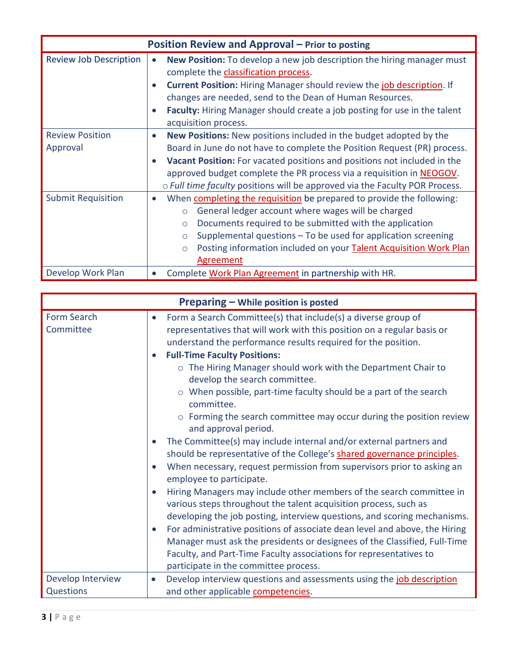<span id="page-2-0"></span>

| Position Review and Approval - Prior to posting |                                                                                                                                                                                                                                                                                                                                                                                                           |  |  |  |
|-------------------------------------------------|-----------------------------------------------------------------------------------------------------------------------------------------------------------------------------------------------------------------------------------------------------------------------------------------------------------------------------------------------------------------------------------------------------------|--|--|--|
| <b>Review Job Description</b>                   | <b>New Position:</b> To develop a new job description the hiring manager must<br>$\bullet$<br>complete the classification process.<br><b>Current Position:</b> Hiring Manager should review the <i>job description</i> . If<br>changes are needed, send to the Dean of Human Resources.<br>Faculty: Hiring Manager should create a job posting for use in the talent<br>$\bullet$<br>acquisition process. |  |  |  |
| <b>Review Position</b><br>Approval              | New Positions: New positions included in the budget adopted by the<br>Board in June do not have to complete the Position Request (PR) process.<br>Vacant Position: For vacated positions and positions not included in the<br>approved budget complete the PR process via a requisition in <b>NEOGOV</b> .<br>o Full time faculty positions will be approved via the Faculty POR Process.                 |  |  |  |
| <b>Submit Requisition</b>                       | When completing the requisition be prepared to provide the following:<br>$\bullet$<br>General ledger account where wages will be charged<br>$\circ$<br>Documents required to be submitted with the application<br>$\circ$<br>Supplemental questions - To be used for application screening<br>$\circ$<br>Posting information included on your Talent Acquisition Work Plan<br>$\circ$<br>Agreement        |  |  |  |
| Develop Work Plan                               | Complete Work Plan Agreement in partnership with HR.                                                                                                                                                                                                                                                                                                                                                      |  |  |  |

<span id="page-2-1"></span>

|                          | Preparing - While position is posted                                                                                                                                                                                                                                                |
|--------------------------|-------------------------------------------------------------------------------------------------------------------------------------------------------------------------------------------------------------------------------------------------------------------------------------|
| Form Search<br>Committee | Form a Search Committee(s) that include(s) a diverse group of<br>$\bullet$<br>representatives that will work with this position on a regular basis or<br>understand the performance results required for the position.                                                              |
|                          | <b>Full-Time Faculty Positions:</b><br>$\bullet$                                                                                                                                                                                                                                    |
|                          | o The Hiring Manager should work with the Department Chair to<br>develop the search committee.                                                                                                                                                                                      |
|                          | $\circ$ When possible, part-time faculty should be a part of the search<br>committee.                                                                                                                                                                                               |
|                          | o Forming the search committee may occur during the position review<br>and approval period.                                                                                                                                                                                         |
|                          | The Committee(s) may include internal and/or external partners and<br>$\bullet$<br>should be representative of the College's shared governance principles.                                                                                                                          |
|                          | When necessary, request permission from supervisors prior to asking an<br>$\bullet$<br>employee to participate.                                                                                                                                                                     |
|                          | Hiring Managers may include other members of the search committee in<br>$\bullet$<br>various steps throughout the talent acquisition process, such as                                                                                                                               |
|                          | developing the job posting, interview questions, and scoring mechanisms.                                                                                                                                                                                                            |
|                          | For administrative positions of associate dean level and above, the Hiring<br>$\bullet$<br>Manager must ask the presidents or designees of the Classified, Full-Time<br>Faculty, and Part-Time Faculty associations for representatives to<br>participate in the committee process. |
| Develop Interview        | Develop interview questions and assessments using the job description<br>$\bullet$                                                                                                                                                                                                  |
| <b>Questions</b>         | and other applicable competencies.                                                                                                                                                                                                                                                  |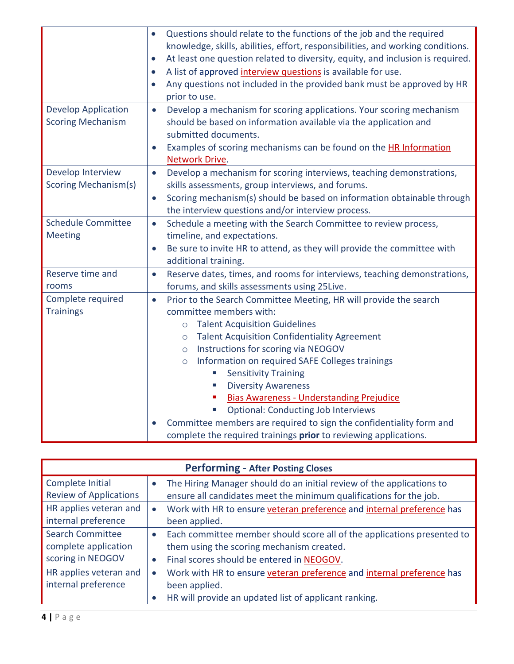|                                                        | Questions should relate to the functions of the job and the required<br>$\bullet$<br>knowledge, skills, abilities, effort, responsibilities, and working conditions.<br>At least one question related to diversity, equity, and inclusion is required.<br>$\bullet$<br>A list of approved interview questions is available for use.<br>$\bullet$                                                                                                                                                                                                                                                                                                                           |  |  |
|--------------------------------------------------------|----------------------------------------------------------------------------------------------------------------------------------------------------------------------------------------------------------------------------------------------------------------------------------------------------------------------------------------------------------------------------------------------------------------------------------------------------------------------------------------------------------------------------------------------------------------------------------------------------------------------------------------------------------------------------|--|--|
|                                                        | Any questions not included in the provided bank must be approved by HR<br>$\bullet$<br>prior to use.                                                                                                                                                                                                                                                                                                                                                                                                                                                                                                                                                                       |  |  |
| <b>Develop Application</b><br><b>Scoring Mechanism</b> | Develop a mechanism for scoring applications. Your scoring mechanism<br>$\bullet$<br>should be based on information available via the application and<br>submitted documents.                                                                                                                                                                                                                                                                                                                                                                                                                                                                                              |  |  |
|                                                        | Examples of scoring mechanisms can be found on the HR Information<br>$\bullet$<br>Network Drive.                                                                                                                                                                                                                                                                                                                                                                                                                                                                                                                                                                           |  |  |
| Develop Interview<br><b>Scoring Mechanism(s)</b>       | Develop a mechanism for scoring interviews, teaching demonstrations,<br>$\bullet$<br>skills assessments, group interviews, and forums.                                                                                                                                                                                                                                                                                                                                                                                                                                                                                                                                     |  |  |
|                                                        | Scoring mechanism(s) should be based on information obtainable through<br>$\bullet$<br>the interview questions and/or interview process.                                                                                                                                                                                                                                                                                                                                                                                                                                                                                                                                   |  |  |
| <b>Schedule Committee</b><br><b>Meeting</b>            | Schedule a meeting with the Search Committee to review process,<br>$\bullet$<br>timeline, and expectations.<br>Be sure to invite HR to attend, as they will provide the committee with<br>$\bullet$<br>additional training.                                                                                                                                                                                                                                                                                                                                                                                                                                                |  |  |
| Reserve time and<br>rooms                              | Reserve dates, times, and rooms for interviews, teaching demonstrations,<br>$\bullet$<br>forums, and skills assessments using 25Live.                                                                                                                                                                                                                                                                                                                                                                                                                                                                                                                                      |  |  |
| Complete required<br><b>Trainings</b>                  | Prior to the Search Committee Meeting, HR will provide the search<br>$\bullet$<br>committee members with:<br><b>Talent Acquisition Guidelines</b><br>$\circ$<br><b>Talent Acquisition Confidentiality Agreement</b><br>$\circ$<br>Instructions for scoring via NEOGOV<br>$\circ$<br>Information on required SAFE Colleges trainings<br>$\circ$<br><b>Sensitivity Training</b><br><b>Diversity Awareness</b><br>L.<br><b>Bias Awareness - Understanding Prejudice</b><br><b>Optional: Conducting Job Interviews</b><br>Committee members are required to sign the confidentiality form and<br>$\bullet$<br>complete the required trainings prior to reviewing applications. |  |  |

<span id="page-3-0"></span>

| <b>Performing - After Posting Closes</b> |           |                                                                         |  |  |
|------------------------------------------|-----------|-------------------------------------------------------------------------|--|--|
| Complete Initial                         |           | The Hiring Manager should do an initial review of the applications to   |  |  |
| <b>Review of Applications</b>            |           | ensure all candidates meet the minimum qualifications for the job.      |  |  |
| HR applies veteran and                   | $\bullet$ | Work with HR to ensure veteran preference and internal preference has   |  |  |
| internal preference                      |           | been applied.                                                           |  |  |
| <b>Search Committee</b>                  | $\bullet$ | Each committee member should score all of the applications presented to |  |  |
| complete application                     |           | them using the scoring mechanism created.                               |  |  |
| scoring in NEOGOV                        | $\bullet$ | Final scores should be entered in NEOGOV.                               |  |  |
| HR applies veteran and                   | $\bullet$ | Work with HR to ensure veteran preference and internal preference has   |  |  |
| internal preference                      |           | been applied.                                                           |  |  |
|                                          | $\bullet$ | HR will provide an updated list of applicant ranking.                   |  |  |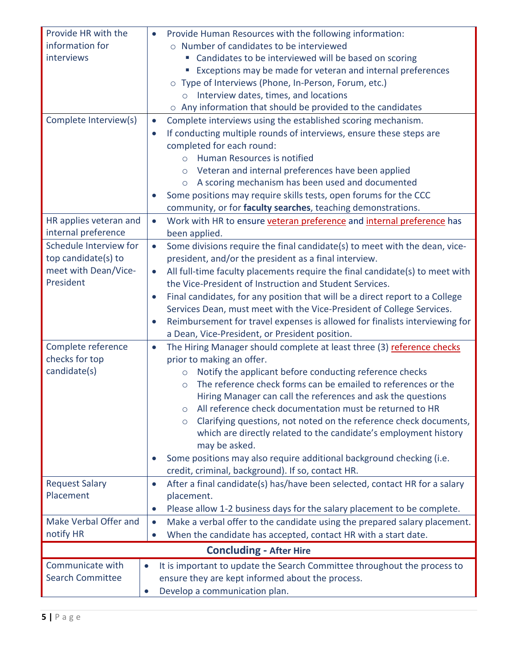<span id="page-4-0"></span>

| Provide HR with the<br>Provide Human Resources with the following information:<br>$\bullet$ |                                                                                                                                     |  |  |
|---------------------------------------------------------------------------------------------|-------------------------------------------------------------------------------------------------------------------------------------|--|--|
| information for                                                                             | o Number of candidates to be interviewed                                                                                            |  |  |
| interviews                                                                                  | " Candidates to be interviewed will be based on scoring                                                                             |  |  |
|                                                                                             | Exceptions may be made for veteran and internal preferences                                                                         |  |  |
|                                                                                             | o Type of Interviews (Phone, In-Person, Forum, etc.)                                                                                |  |  |
|                                                                                             | Interview dates, times, and locations<br>$\circ$                                                                                    |  |  |
|                                                                                             | $\circ$ Any information that should be provided to the candidates                                                                   |  |  |
| Complete Interview(s)                                                                       | Complete interviews using the established scoring mechanism.<br>$\bullet$                                                           |  |  |
|                                                                                             | If conducting multiple rounds of interviews, ensure these steps are<br>$\bullet$                                                    |  |  |
|                                                                                             | completed for each round:                                                                                                           |  |  |
|                                                                                             | Human Resources is notified<br>$\bigcirc$                                                                                           |  |  |
|                                                                                             | Veteran and internal preferences have been applied<br>$\circ$                                                                       |  |  |
|                                                                                             | A scoring mechanism has been used and documented<br>$\circ$                                                                         |  |  |
|                                                                                             | Some positions may require skills tests, open forums for the CCC<br>$\bullet$                                                       |  |  |
|                                                                                             | community, or for faculty searches, teaching demonstrations.                                                                        |  |  |
| HR applies veteran and                                                                      | Work with HR to ensure veteran preference and internal preference has<br>$\bullet$                                                  |  |  |
| internal preference                                                                         | been applied.                                                                                                                       |  |  |
| Schedule Interview for                                                                      | Some divisions require the final candidate(s) to meet with the dean, vice-<br>$\bullet$                                             |  |  |
| top candidate(s) to                                                                         | president, and/or the president as a final interview.                                                                               |  |  |
| meet with Dean/Vice-                                                                        | All full-time faculty placements require the final candidate(s) to meet with<br>$\bullet$                                           |  |  |
| President                                                                                   | the Vice-President of Instruction and Student Services.                                                                             |  |  |
|                                                                                             | Final candidates, for any position that will be a direct report to a College<br>$\bullet$                                           |  |  |
|                                                                                             | Services Dean, must meet with the Vice-President of College Services.                                                               |  |  |
|                                                                                             | Reimbursement for travel expenses is allowed for finalists interviewing for<br>$\bullet$                                            |  |  |
|                                                                                             | a Dean, Vice-President, or President position.                                                                                      |  |  |
| Complete reference                                                                          | The Hiring Manager should complete at least three (3) reference checks<br>$\bullet$                                                 |  |  |
| checks for top                                                                              | prior to making an offer.                                                                                                           |  |  |
| candidate(s)                                                                                | Notify the applicant before conducting reference checks<br>$\circ$<br>The reference check forms can be emailed to references or the |  |  |
|                                                                                             | $\circ$                                                                                                                             |  |  |
|                                                                                             | Hiring Manager can call the references and ask the questions<br>All reference check documentation must be returned to HR            |  |  |
|                                                                                             | $\circ$<br>Clarifying questions, not noted on the reference check documents,                                                        |  |  |
|                                                                                             | $\circ$<br>which are directly related to the candidate's employment history                                                         |  |  |
|                                                                                             | may be asked.                                                                                                                       |  |  |
|                                                                                             | Some positions may also require additional background checking (i.e.<br>$\bullet$                                                   |  |  |
|                                                                                             | credit, criminal, background). If so, contact HR.                                                                                   |  |  |
| <b>Request Salary</b>                                                                       | After a final candidate(s) has/have been selected, contact HR for a salary<br>$\bullet$                                             |  |  |
| Placement<br>placement.                                                                     |                                                                                                                                     |  |  |
|                                                                                             | Please allow 1-2 business days for the salary placement to be complete.<br>$\bullet$                                                |  |  |
| Make Verbal Offer and                                                                       | Make a verbal offer to the candidate using the prepared salary placement.<br>$\bullet$                                              |  |  |
| notify HR                                                                                   | When the candidate has accepted, contact HR with a start date.<br>$\bullet$                                                         |  |  |
|                                                                                             | <b>Concluding - After Hire</b>                                                                                                      |  |  |
| Communicate with                                                                            | It is important to update the Search Committee throughout the process to<br>$\bullet$                                               |  |  |
| <b>Search Committee</b>                                                                     | ensure they are kept informed about the process.                                                                                    |  |  |
|                                                                                             | Develop a communication plan.                                                                                                       |  |  |
|                                                                                             |                                                                                                                                     |  |  |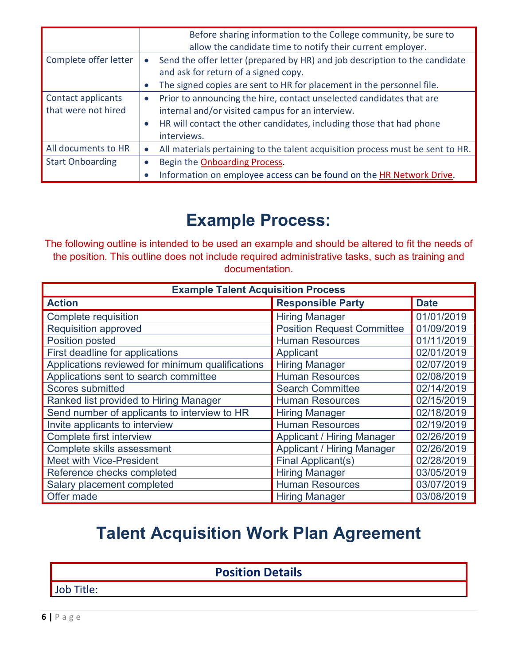|                         | Before sharing information to the College community, be sure to<br>allow the candidate time to notify their current employer.    |  |  |  |
|-------------------------|----------------------------------------------------------------------------------------------------------------------------------|--|--|--|
| Complete offer letter   | Send the offer letter (prepared by HR) and job description to the candidate<br>$\bullet$<br>and ask for return of a signed copy. |  |  |  |
|                         | The signed copies are sent to HR for placement in the personnel file.                                                            |  |  |  |
| Contact applicants      | Prior to announcing the hire, contact unselected candidates that are<br>$\bullet$                                                |  |  |  |
| that were not hired     | internal and/or visited campus for an interview.                                                                                 |  |  |  |
|                         | HR will contact the other candidates, including those that had phone<br>$\bullet$                                                |  |  |  |
|                         | interviews.                                                                                                                      |  |  |  |
| All documents to HR     | All materials pertaining to the talent acquisition process must be sent to HR.<br>$\bullet$                                      |  |  |  |
| <b>Start Onboarding</b> | Begin the Onboarding Process.                                                                                                    |  |  |  |
|                         | Information on employee access can be found on the HR Network Drive.                                                             |  |  |  |

### **Example Process:**

<span id="page-5-0"></span>The following outline is intended to be used an example and should be altered to fit the needs of the position. This outline does not include required administrative tasks, such as training and documentation.

| <b>Example Talent Acquisition Process</b>        |                                   |             |  |  |
|--------------------------------------------------|-----------------------------------|-------------|--|--|
| <b>Action</b>                                    | <b>Responsible Party</b>          | <b>Date</b> |  |  |
| Complete requisition                             | <b>Hiring Manager</b>             | 01/01/2019  |  |  |
| <b>Requisition approved</b>                      | <b>Position Request Committee</b> | 01/09/2019  |  |  |
| Position posted                                  | <b>Human Resources</b>            | 01/11/2019  |  |  |
| First deadline for applications                  | Applicant                         | 02/01/2019  |  |  |
| Applications reviewed for minimum qualifications | <b>Hiring Manager</b>             | 02/07/2019  |  |  |
| Applications sent to search committee            | <b>Human Resources</b>            | 02/08/2019  |  |  |
| Scores submitted                                 | <b>Search Committee</b>           | 02/14/2019  |  |  |
| Ranked list provided to Hiring Manager           | <b>Human Resources</b>            | 02/15/2019  |  |  |
| Send number of applicants to interview to HR     | <b>Hiring Manager</b>             | 02/18/2019  |  |  |
| Invite applicants to interview                   | <b>Human Resources</b>            | 02/19/2019  |  |  |
| Complete first interview                         | <b>Applicant / Hiring Manager</b> | 02/26/2019  |  |  |
| Complete skills assessment                       | <b>Applicant / Hiring Manager</b> | 02/26/2019  |  |  |
| Meet with Vice-President                         | Final Applicant(s)                | 02/28/2019  |  |  |
| Reference checks completed                       | <b>Hiring Manager</b>             | 03/05/2019  |  |  |
| Salary placement completed                       | <b>Human Resources</b>            | 03/07/2019  |  |  |
| Offer made                                       | <b>Hiring Manager</b>             | 03/08/2019  |  |  |

### **Talent Acquisition Work Plan Agreement**

**Position Details**

Job Title: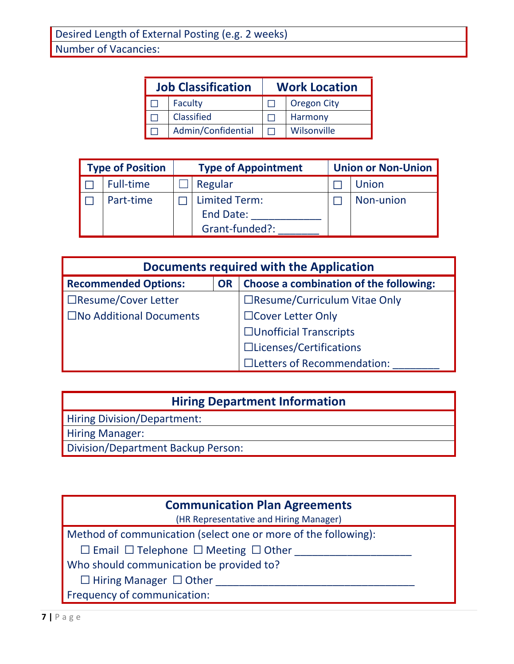| <b>Job Classification</b> | <b>Work Location</b> |                    |  |
|---------------------------|----------------------|--------------------|--|
| Faculty                   |                      | <b>Oregon City</b> |  |
| Classified                |                      | Harmony            |  |
| Admin/Confidential        |                      | Wilsonville        |  |

| <b>Type of Position</b> |                  | <b>Type of Appointment</b>                                 |  | <b>Union or Non-Union</b> |  |
|-------------------------|------------------|------------------------------------------------------------|--|---------------------------|--|
|                         | <b>Full-time</b> | Regular                                                    |  | Union                     |  |
|                         | Part-time        | <b>Limited Term:</b><br><b>End Date:</b><br>Grant-funded?: |  | Non-union                 |  |

| Documents required with the Application |           |                                        |  |
|-----------------------------------------|-----------|----------------------------------------|--|
| <b>Recommended Options:</b>             | <b>OR</b> | Choose a combination of the following: |  |
| □Resume/Cover Letter                    |           | □Resume/Curriculum Vitae Only          |  |
| $\square$ No Additional Documents       |           | □ Cover Letter Only                    |  |
|                                         |           | $\Box$ Unofficial Transcripts          |  |
|                                         |           | □Licenses/Certifications               |  |
|                                         |           | □Letters of Recommendation:            |  |

#### **Hiring Department Information**

Hiring Division/Department:

Hiring Manager:

Division/Department Backup Person:

#### **Communication Plan Agreements**

(HR Representative and Hiring Manager)

Method of communication (select one or more of the following):

☐ Email ☐ Telephone ☐ Meeting ☐ Other \_\_\_\_\_\_\_\_\_\_\_\_\_\_\_\_\_\_\_\_

Who should communication be provided to?

 $\Box$  Hiring Manager  $\Box$  Other

Frequency of communication: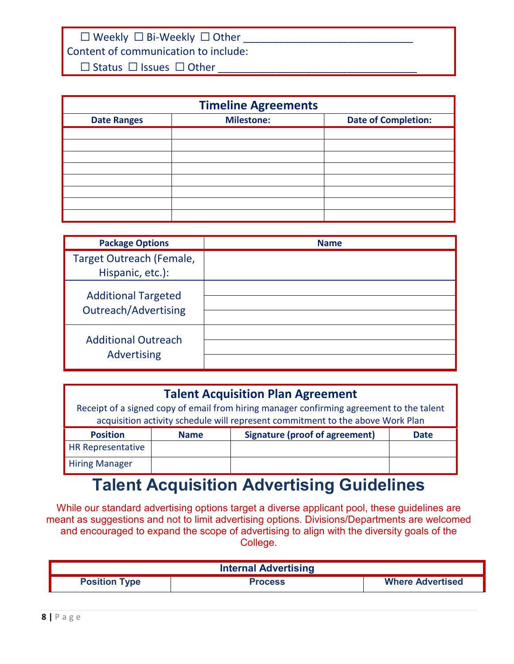$\Box$  Weekly  $\Box$  Bi-Weekly  $\Box$  Other

Content of communication to include:

 $\Box$  Status  $\Box$  Issues  $\Box$  Other

| <b>Timeline Agreements</b> |                   |                            |  |
|----------------------------|-------------------|----------------------------|--|
| <b>Date Ranges</b>         | <b>Milestone:</b> | <b>Date of Completion:</b> |  |
|                            |                   |                            |  |
|                            |                   |                            |  |
|                            |                   |                            |  |
|                            |                   |                            |  |
|                            |                   |                            |  |
|                            |                   |                            |  |
|                            |                   |                            |  |
|                            |                   |                            |  |

| <b>Package Options</b>                                    | <b>Name</b> |
|-----------------------------------------------------------|-------------|
| Target Outreach (Female,<br>Hispanic, etc.):              |             |
| <b>Additional Targeted</b><br><b>Outreach/Advertising</b> |             |
| <b>Additional Outreach</b><br>Advertising                 |             |

#### **Talent Acquisition Plan Agreement**

Receipt of a signed copy of email from hiring manager confirming agreement to the talent acquisition activity schedule will represent commitment to the above Work Plan

| <b>Position</b>          | <b>Name</b> | Signature (proof of agreement) | Date |
|--------------------------|-------------|--------------------------------|------|
| <b>HR Representative</b> |             |                                |      |
| <b>Hiring Manager</b>    |             |                                |      |

## **Talent Acquisition Advertising Guidelines**

<span id="page-7-0"></span>While our standard advertising options target a diverse applicant pool, these guidelines are meant as suggestions and not to limit advertising options. Divisions/Departments are welcomed and encouraged to expand the scope of advertising to align with the diversity goals of the College.

| <b>Internal Advertising</b> |                |                         |  |  |
|-----------------------------|----------------|-------------------------|--|--|
| <b>Position Type</b>        | <b>Process</b> | <b>Where Advertised</b> |  |  |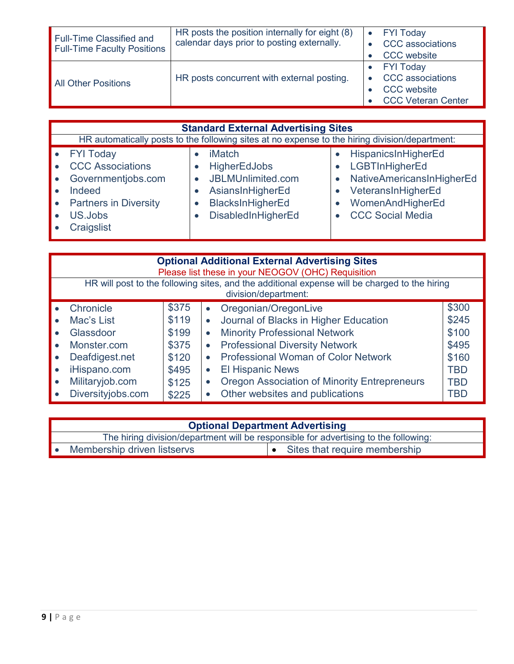| <b>Full-Time Classified and</b><br><b>Full-Time Faculty Positions</b> | HR posts the position internally for eight (8)<br>calendar days prior to posting externally. | <b>FYI Today</b><br>CCC associations<br><b>CCC</b> website                                     |
|-----------------------------------------------------------------------|----------------------------------------------------------------------------------------------|------------------------------------------------------------------------------------------------|
| <b>All Other Positions</b>                                            | HR posts concurrent with external posting.                                                   | <b>FYI Today</b><br><b>CCC</b> associations<br><b>CCC</b> website<br><b>CCC Veteran Center</b> |

| <b>Standard External Advertising Sites</b>                                                                                      |                                                                                                                         |                                                                                                                                         |  |  |  |
|---------------------------------------------------------------------------------------------------------------------------------|-------------------------------------------------------------------------------------------------------------------------|-----------------------------------------------------------------------------------------------------------------------------------------|--|--|--|
| HR automatically posts to the following sites at no expense to the hiring division/department:                                  |                                                                                                                         |                                                                                                                                         |  |  |  |
| • FYI Today<br><b>CCC Associations</b><br>Governmentjobs.com<br>Indeed<br><b>Partners in Diversity</b><br>US.Jobs<br>Craigslist | <b>iMatch</b><br><b>HigherEdJobs</b><br>JBLMUnlimited.com<br>AsiansInHigherEd<br>BlacksInHigherEd<br>DisabledInHigherEd | HispanicsInHigherEd<br>LGBTInHigherEd<br>NativeAmericansInHigherEd<br>VeteransInHigherEd<br>WomenAndHigherEd<br><b>CCC Social Media</b> |  |  |  |

| <b>Optional Additional External Advertising Sites</b><br>Please list these in your NEOGOV (OHC) Requisition           |       |                                                                  |            |  |
|-----------------------------------------------------------------------------------------------------------------------|-------|------------------------------------------------------------------|------------|--|
| HR will post to the following sites, and the additional expense will be charged to the hiring<br>division/department: |       |                                                                  |            |  |
| Chronicle                                                                                                             | \$375 | Oregonian/OregonLive<br>$\bullet$                                | \$300      |  |
| Mac's List                                                                                                            | \$119 | Journal of Blacks in Higher Education<br>$\bullet$               | \$245      |  |
| Glassdoor                                                                                                             | \$199 | <b>Minority Professional Network</b><br>$\bullet$                | \$100      |  |
| Monster.com                                                                                                           | \$375 | <b>Professional Diversity Network</b><br>$\bullet$               | \$495      |  |
| Deafdigest.net                                                                                                        | \$120 | <b>Professional Woman of Color Network</b><br>$\bullet$          | \$160      |  |
| iHispano.com                                                                                                          | \$495 | <b>El Hispanic News</b><br>$\bullet$                             | <b>TBD</b> |  |
| Militaryjob.com                                                                                                       | \$125 | <b>Oregon Association of Minority Entrepreneurs</b><br>$\bullet$ | TBD        |  |
| Diversityjobs.com                                                                                                     | \$225 | Other websites and publications<br>$\bullet$                     | TBD        |  |

| <b>Optional Department Advertising</b> |                                                                                      |  |  |  |
|----------------------------------------|--------------------------------------------------------------------------------------|--|--|--|
|                                        | The hiring division/department will be responsible for advertising to the following: |  |  |  |
|                                        | • Sites that require membership<br>Membership driven listservs                       |  |  |  |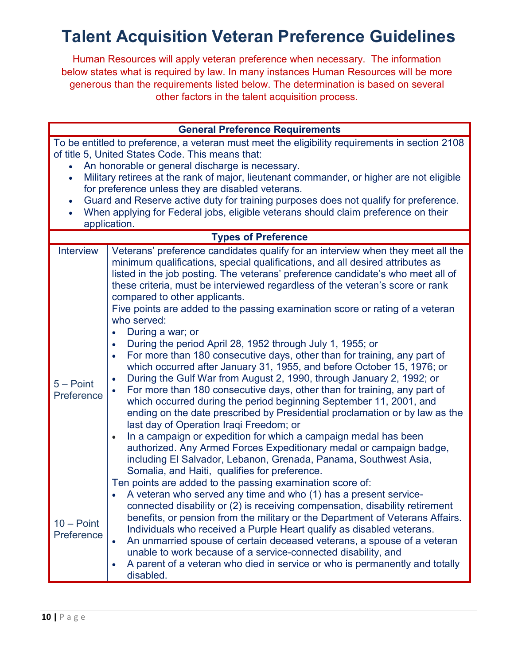### <span id="page-9-0"></span>**Talent Acquisition Veteran Preference Guidelines**

Human Resources will apply veteran preference when necessary. The information below states what is required by law. In many instances Human Resources will be more generous than the requirements listed below. The determination is based on several other factors in the talent acquisition process.

| <b>General Preference Requirements</b> |                                                                                                                                                                                                                                                                                                                                                                                                                                                                                                                                                                                                                                                                                                                                                                                                                                                                                                                                                                                                                         |  |  |
|----------------------------------------|-------------------------------------------------------------------------------------------------------------------------------------------------------------------------------------------------------------------------------------------------------------------------------------------------------------------------------------------------------------------------------------------------------------------------------------------------------------------------------------------------------------------------------------------------------------------------------------------------------------------------------------------------------------------------------------------------------------------------------------------------------------------------------------------------------------------------------------------------------------------------------------------------------------------------------------------------------------------------------------------------------------------------|--|--|
| $\bullet$                              | To be entitled to preference, a veteran must meet the eligibility requirements in section 2108<br>of title 5, United States Code. This means that:<br>An honorable or general discharge is necessary.<br>Military retirees at the rank of major, lieutenant commander, or higher are not eligible<br>for preference unless they are disabled veterans.<br>Guard and Reserve active duty for training purposes does not qualify for preference.<br>When applying for Federal jobs, eligible veterans should claim preference on their<br>application.                                                                                                                                                                                                                                                                                                                                                                                                                                                                    |  |  |
|                                        | <b>Types of Preference</b>                                                                                                                                                                                                                                                                                                                                                                                                                                                                                                                                                                                                                                                                                                                                                                                                                                                                                                                                                                                              |  |  |
| <b>Interview</b>                       | Veterans' preference candidates qualify for an interview when they meet all the<br>minimum qualifications, special qualifications, and all desired attributes as<br>listed in the job posting. The veterans' preference candidate's who meet all of<br>these criteria, must be interviewed regardless of the veteran's score or rank<br>compared to other applicants.                                                                                                                                                                                                                                                                                                                                                                                                                                                                                                                                                                                                                                                   |  |  |
| $5 - Point$<br>Preference              | Five points are added to the passing examination score or rating of a veteran<br>who served:<br>During a war; or<br>$\bullet$<br>During the period April 28, 1952 through July 1, 1955; or<br>$\bullet$<br>For more than 180 consecutive days, other than for training, any part of<br>$\bullet$<br>which occurred after January 31, 1955, and before October 15, 1976; or<br>During the Gulf War from August 2, 1990, through January 2, 1992; or<br>$\bullet$<br>For more than 180 consecutive days, other than for training, any part of<br>which occurred during the period beginning September 11, 2001, and<br>ending on the date prescribed by Presidential proclamation or by law as the<br>last day of Operation Iraqi Freedom; or<br>In a campaign or expedition for which a campaign medal has been<br>$\bullet$<br>authorized. Any Armed Forces Expeditionary medal or campaign badge,<br>including El Salvador, Lebanon, Grenada, Panama, Southwest Asia,<br>Somalia, and Haiti, qualifies for preference. |  |  |
| $10 - Point$<br>Preference             | Ten points are added to the passing examination score of:<br>• A veteran who served any time and who (1) has a present service-<br>connected disability or (2) is receiving compensation, disability retirement<br>benefits, or pension from the military or the Department of Veterans Affairs.<br>Individuals who received a Purple Heart qualify as disabled veterans.<br>An unmarried spouse of certain deceased veterans, a spouse of a veteran<br>$\bullet$<br>unable to work because of a service-connected disability, and<br>A parent of a veteran who died in service or who is permanently and totally<br>$\bullet$<br>disabled.                                                                                                                                                                                                                                                                                                                                                                             |  |  |